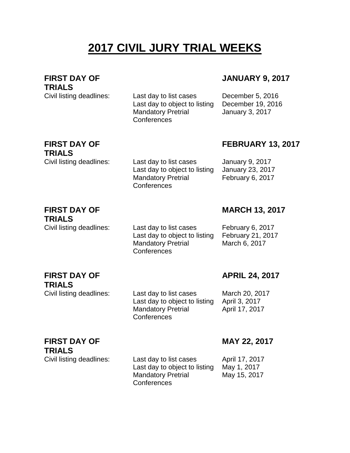## **2017 CIVIL JURY TRIAL WEEKS**

**FIRST DAY OF TRIALS**

Civil listing deadlines: Last day to list cases December 5, 2016 Last day to object to listing December 19, 2016 Mandatory Pretrial **Conferences** 

### **JANUARY 9, 2017**

January 3, 2017

## **FIRST DAY OF TRIALS**

**FEBRUARY 13, 2017**

Civil listing deadlines: Last day to list cases January 9, 2017 Last day to object to listing January 23, 2017 February 6, 2017

#### **FIRST DAY OF TRIALS**

Civil listing deadlines: Last day to list cases February 6, 2017 Last day to object to listing February 21, 2017 Mandatory Pretrial **Conferences** 

Mandatory Pretrial

**Conferences** 

**MARCH 13, 2017**

March 6, 2017

**APRIL 24, 2017**

#### **FIRST DAY OF TRIALS**

**TRIALS**

Civil listing deadlines: Last day to list cases March 20, 2017 Last day to object to listing April 3, 2017 Mandatory Pretrial **Conferences** 

April 17, 2017

# **FIRST DAY OF**

Civil listing deadlines: Last day to list cases April 17, 2017 Last day to object to listing May 1, 2017 Mandatory Pretrial **Conferences** 

### **MAY 22, 2017**

May 15, 2017